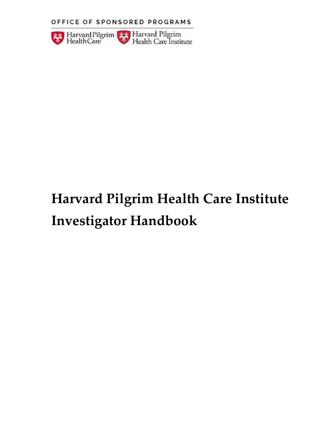OFFICE OF SPONSORED PROGRAMS



# **Harvard Pilgrim Health Care Institute Investigator Handbook**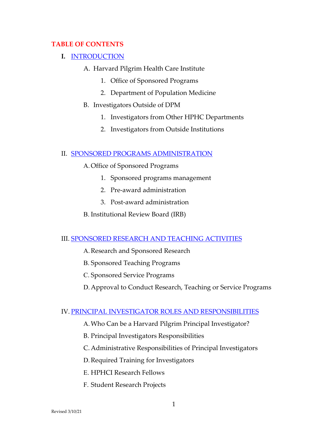#### **TABLE OF CONTENTS**

- **I.** [INTRODUCTION](#page-4-0)
	- A. Harvard Pilgrim Health Care Institute
		- 1. Office of Sponsored Programs
		- 2. Department of Population Medicine
	- B. Investigators Outside of DPM
		- 1. Investigators from Other HPHC Departments
		- 2. Investigators from Outside Institutions

#### II. [SPONSORED PROGRAMS ADMINISTRATION](#page-7-0)

- A.Office of Sponsored Programs
	- 1. Sponsored programs management
	- 2. Pre-award administration
	- 3. Post-award administration
- B. Institutional Review Board (IRB)

#### III. [SPONSORED RESEARCH AND TEACHING ACTIVITIES](#page-10-0)

- A.Research and Sponsored Research
- B. Sponsored Teaching Programs
- C. Sponsored Service Programs
- D.Approval to Conduct Research, Teaching or Service Programs

#### IV. [PRINCIPAL INVESTIGATOR ROLES AND RESPONSIBILITIES](#page-13-0)

- A.Who Can be a Harvard Pilgrim Principal Investigator?
- B. Principal Investigators Responsibilities
- C. Administrative Responsibilities of Principal Investigators
- D.Required Training for Investigators
- E. HPHCI Research Fellows
- F. Student Research Projects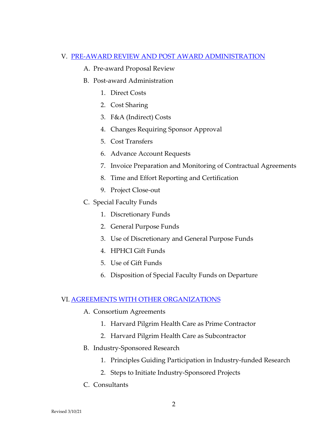#### V. [PRE-AWARD REVIEW AND POST AWARD ADMINISTRATION](#page-18-0)

- A. Pre-award Proposal Review
- B. Post-award Administration
	- 1. Direct Costs
	- 2. Cost Sharing
	- 3. F&A (Indirect) Costs
	- 4. Changes Requiring Sponsor Approval
	- 5. Cost Transfers
	- 6. Advance Account Requests
	- 7. Invoice Preparation and Monitoring of Contractual Agreements
	- 8. Time and Effort Reporting and Certification
	- 9. Project Close-out
- C. Special Faculty Funds
	- 1. Discretionary Funds
	- 2. General Purpose Funds
	- 3. Use of Discretionary and General Purpose Funds
	- 4. HPHCI Gift Funds
	- 5. Use of Gift Funds
	- 6. Disposition of Special Faculty Funds on Departure

#### VI. [AGREEMENTS WITH OTHER ORGANIZATIONS](#page-29-0)

- A. Consortium Agreements
	- 1. Harvard Pilgrim Health Care as Prime Contractor
	- 2. Harvard Pilgrim Health Care as Subcontractor
- B. Industry-Sponsored Research
	- 1. Principles Guiding Participation in Industry-funded Research
	- 2. Steps to Initiate Industry-Sponsored Projects
- C. Consultants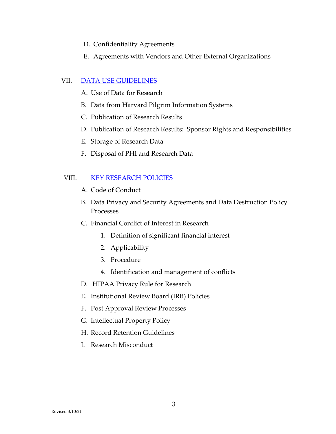- D. Confidentiality Agreements
- E. Agreements with Vendors and Other External Organizations

#### VII. [DATA USE GUIDELINES](#page-33-0)

- A. Use of Data for Research
- B. Data from Harvard Pilgrim Information Systems
- C. Publication of Research Results
- D. Publication of Research Results: Sponsor Rights and Responsibilities
- E. Storage of Research Data
- F. Disposal of PHI and Research Data

## VIII. [KEY RESEARCH POLICIES](#page-38-0)

- A. Code of Conduct
- B. Data Privacy and Security Agreements and Data Destruction Policy Processes
- C. Financial Conflict of Interest in Research
	- 1. Definition of significant financial interest
	- 2. Applicability
	- 3. Procedure
	- 4. Identification and management of conflicts
- D. HIPAA Privacy Rule for Research
- E. Institutional Review Board (IRB) Policies
- F. Post Approval Review Processes
- G. Intellectual Property Policy
- H. Record Retention Guidelines
- I. Research Misconduct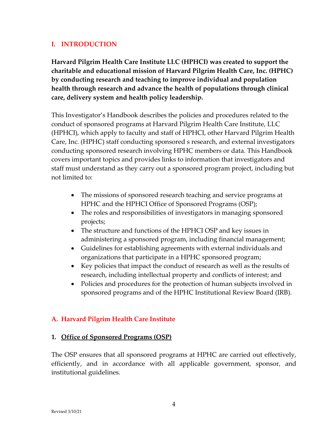## <span id="page-4-0"></span>**I. INTRODUCTION**

**Harvard Pilgrim Health Care Institute LLC (HPHCI) was created to support the charitable and educational mission of Harvard Pilgrim Health Care, Inc. (HPHC) by conducting research and teaching to improve individual and population health through research and advance the health of populations through clinical care, delivery system and health policy leadership.**

This Investigator's Handbook describes the policies and procedures related to the conduct of sponsored programs at Harvard Pilgrim Health Care Institute, LLC (HPHCI), which apply to faculty and staff of HPHCI, other Harvard Pilgrim Health Care, Inc. (HPHC) staff conducting sponsored s research, and external investigators conducting sponsored research involving HPHC members or data. This Handbook covers important topics and provides links to information that investigators and staff must understand as they carry out a sponsored program project, including but not limited to:

- The missions of sponsored research teaching and service programs at HPHC and the HPHCI Office of Sponsored Programs (OSP);
- The roles and responsibilities of investigators in managing sponsored projects;
- The structure and functions of the HPHCI OSP and key issues in administering a sponsored program, including financial management;
- Guidelines for establishing agreements with external individuals and organizations that participate in a HPHC sponsored program;
- Key policies that impact the conduct of research as well as the results of research, including intellectual property and conflicts of interest; and
- Policies and procedures for the protection of human subjects involved in sponsored programs and of the HPHC Institutional Review Board (IRB).

# **A. Harvard Pilgrim Health Care Institute**

#### **1. Office of Sponsored Programs (OSP)**

The OSP ensures that all sponsored programs at HPHC are carried out effectively, efficiently, and in accordance with all applicable government, sponsor, and institutional guidelines.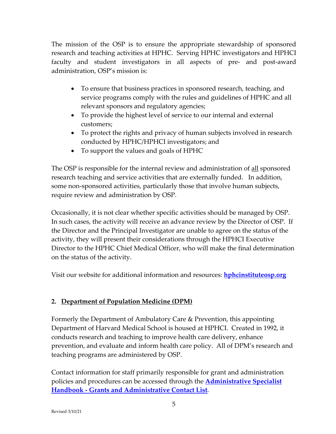The mission of the OSP is to ensure the appropriate stewardship of sponsored research and teaching activities at HPHC. Serving HPHC investigators and HPHCI faculty and student investigators in all aspects of pre- and post-award administration, OSP's mission is:

- To ensure that business practices in sponsored research, teaching, and service programs comply with the rules and guidelines of HPHC and all relevant sponsors and regulatory agencies;
- To provide the highest level of service to our internal and external customers;
- To protect the rights and privacy of human subjects involved in research conducted by HPHC/HPHCI investigators; and
- To support the values and goals of HPHC

The OSP is responsible for the internal review and administration of <u>all</u> sponsored research teaching and service activities that are externally funded. In addition, some non-sponsored activities, particularly those that involve human subjects, require review and administration by OSP.

Occasionally, it is not clear whether specific activities should be managed by OSP. In such cases, the activity will receive an advance review by the Director of OSP. If the Director and the Principal Investigator are unable to agree on the status of the activity, they will present their considerations through the HPHCI Executive Director to the HPHC Chief Medical Officer, who will make the final determination on the status of the activity.

Visit our website for additional information and resources: **[hphcinstituteosp.org](http://www.hphcinstituteosp.org/)**

# **2. Department of Population Medicine (DPM)**

Formerly the Department of Ambulatory Care & Prevention, this appointing Department of Harvard Medical School is housed at HPHCI. Created in 1992, it conducts research and teaching to improve health care delivery, enhance prevention, and evaluate and inform health care policy. All of DPM's research and teaching programs are administered by OSP.

Contact information for staff primarily responsible for grant and administration policies and procedures can be accessed through the **[Administrative Specialist](file://N2FS009/DACP/DACP/Admin%20Specialist/General/HPHCI%20Admin%20Handbook_General.pdf) Handbook - [Grants and Administrative Contact List](file://N2FS009/DACP/DACP/Admin%20Specialist/General/HPHCI%20Admin%20Handbook_General.pdf)**.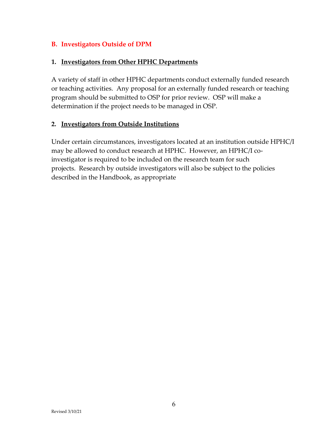#### **B. Investigators Outside of DPM**

#### **1. Investigators from Other HPHC Departments**

A variety of staff in other HPHC departments conduct externally funded research or teaching activities. Any proposal for an externally funded research or teaching program should be submitted to OSP for prior review. OSP will make a determination if the project needs to be managed in OSP.

#### **2. Investigators from Outside Institutions**

Under certain circumstances, investigators located at an institution outside HPHC/I may be allowed to conduct research at HPHC. However, an HPHC/I coinvestigator is required to be included on the research team for such projects. Research by outside investigators will also be subject to the policies described in the Handbook, as appropriate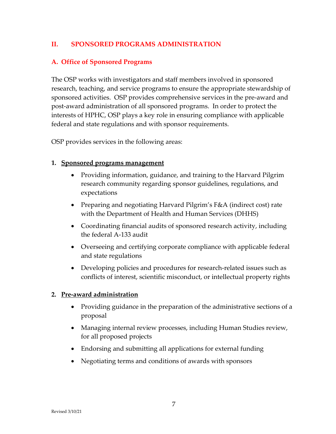## <span id="page-7-0"></span>**II. SPONSORED PROGRAMS ADMINISTRATION**

#### **A. Office of Sponsored Programs**

The OSP works with investigators and staff members involved in sponsored research, teaching, and service programs to ensure the appropriate stewardship of sponsored activities. OSP provides comprehensive services in the pre-award and post-award administration of all sponsored programs. In order to protect the interests of HPHC, OSP plays a key role in ensuring compliance with applicable federal and state regulations and with sponsor requirements.

OSP provides services in the following areas:

#### **1. Sponsored programs management**

- Providing information, guidance, and training to the Harvard Pilgrim research community regarding sponsor guidelines, regulations, and expectations
- Preparing and negotiating Harvard Pilgrim's F&A (indirect cost) rate with the Department of Health and Human Services (DHHS)
- Coordinating financial audits of sponsored research activity, including the federal A-133 audit
- Overseeing and certifying corporate compliance with applicable federal and state regulations
- Developing policies and procedures for research-related issues such as conflicts of interest, scientific misconduct, or intellectual property rights

#### **2. Pre-award administration**

- Providing guidance in the preparation of the administrative sections of a proposal
- Managing internal review processes, including Human Studies review, for all proposed projects
- Endorsing and submitting all applications for external funding
- Negotiating terms and conditions of awards with sponsors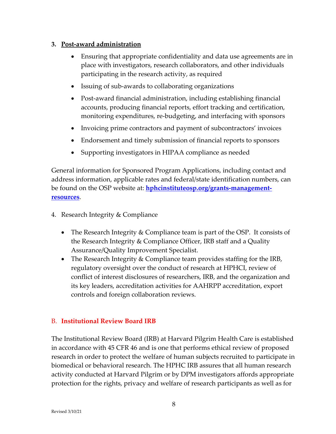#### <span id="page-8-0"></span>**3. Post-award administration**

- Ensuring that appropriate confidentiality and data use agreements are in place with investigators, research collaborators, and other individuals participating in the research activity, as required
- Issuing of sub-awards to collaborating organizations
- Post-award financial administration, including establishing financial accounts, producing financial reports, effort tracking and certification, monitoring expenditures, re-budgeting, and interfacing with sponsors
- Invoicing prime contractors and payment of subcontractors' invoices
- Endorsement and timely submission of financial reports to sponsors
- Supporting investigators in HIPAA compliance as needed

General information for Sponsored Program Applications, including contact and address information, applicable rates and federal/state identification numbers, can be found on the OSP website at: **[hphcinstituteosp.org/grants-management](https://www.hphcinstituteosp.org/grants-management-resources)[resources](https://www.hphcinstituteosp.org/grants-management-resources)**.

- 4. Research Integrity & Compliance
	- The Research Integrity & Compliance team is part of the OSP. It consists of the Research Integrity & Compliance Officer, IRB staff and a Quality Assurance/Quality Improvement Specialist.
	- The Research Integrity & Compliance team provides staffing for the IRB, regulatory oversight over the conduct of research at HPHCI, review of conflict of interest disclosures of researchers, IRB, and the organization and its key leaders, accreditation activities for AAHRPP accreditation, export controls and foreign collaboration reviews.

#### B. **Institutional Review Board IRB**

The Institutional Review Board (IRB) at Harvard Pilgrim Health Care is established in accordance with 45 CFR 46 and is one that performs ethical review of proposed research in order to protect the welfare of human subjects recruited to participate in biomedical or behavioral research. The HPHC IRB assures that all human research activity conducted at Harvard Pilgrim or by DPM investigators affords appropriate protection for the rights, privacy and welfare of research participants as well as for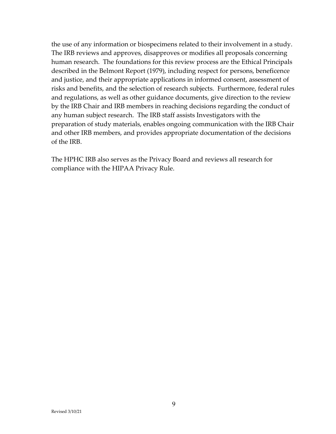the use of any information or biospecimens related to their involvement in a study. The IRB reviews and approves, disapproves or modifies all proposals concerning human research. The foundations for this review process are the Ethical Principals described in the Belmont Report (1979), including respect for persons, beneficence and justice, and their appropriate applications in informed consent, assessment of risks and benefits, and the selection of research subjects. Furthermore, federal rules and regulations, as well as other guidance documents, give direction to the review by the IRB Chair and IRB members in reaching decisions regarding the conduct of any human subject research. The IRB staff assists Investigators with the preparation of study materials, enables ongoing communication with the IRB Chair and other IRB members, and provides appropriate documentation of the decisions of the IRB.

The HPHC IRB also serves as the Privacy Board and reviews all research for compliance with the HIPAA Privacy Rule.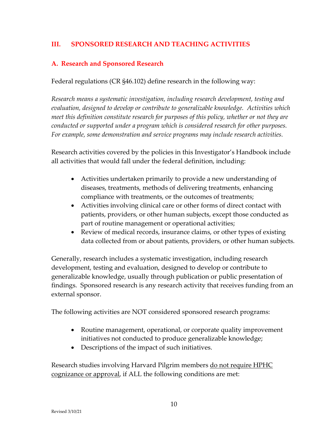## <span id="page-10-0"></span>**III. SPONSORED RESEARCH AND TEACHING ACTIVITIES**

#### **A. Research and Sponsored Research**

Federal regulations (CR §46.102) define research in the following way:

*Research means a systematic investigation, including research development, testing and evaluation, designed to develop or contribute to generalizable knowledge. Activities which meet this definition constitute research for purposes of this policy, whether or not they are conducted or supported under a program which is considered research for other purposes. For example, some demonstration and service programs may include research activities.*

Research activities covered by the policies in this Investigator's Handbook include all activities that would fall under the federal definition, including:

- Activities undertaken primarily to provide a new understanding of diseases, treatments, methods of delivering treatments, enhancing compliance with treatments, or the outcomes of treatments;
- Activities involving clinical care or other forms of direct contact with patients, providers, or other human subjects, except those conducted as part of routine management or operational activities;
- Review of medical records, insurance claims, or other types of existing data collected from or about patients, providers, or other human subjects.

Generally, research includes a systematic investigation, including research development, testing and evaluation, designed to develop or contribute to generalizable knowledge, usually through publication or public presentation of findings. Sponsored research is any research activity that receives funding from an external sponsor.

The following activities are NOT considered sponsored research programs:

- Routine management, operational, or corporate quality improvement initiatives not conducted to produce generalizable knowledge;
- Descriptions of the impact of such initiatives.

Research studies involving Harvard Pilgrim members do not require HPHC cognizance or approval, if ALL the following conditions are met: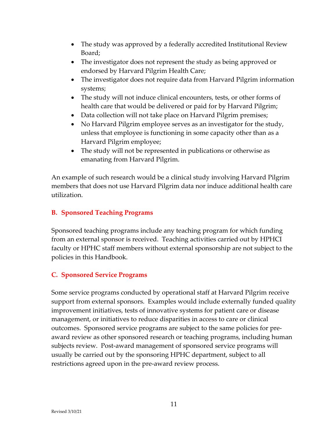- The study was approved by a federally accredited Institutional Review Board;
- The investigator does not represent the study as being approved or endorsed by Harvard Pilgrim Health Care;
- The investigator does not require data from Harvard Pilgrim information systems;
- The study will not induce clinical encounters, tests, or other forms of health care that would be delivered or paid for by Harvard Pilgrim;
- Data collection will not take place on Harvard Pilgrim premises;
- No Harvard Pilgrim employee serves as an investigator for the study, unless that employee is functioning in some capacity other than as a Harvard Pilgrim employee;
- The study will not be represented in publications or otherwise as emanating from Harvard Pilgrim.

An example of such research would be a clinical study involving Harvard Pilgrim members that does not use Harvard Pilgrim data nor induce additional health care utilization.

# **B. Sponsored Teaching Programs**

Sponsored teaching programs include any teaching program for which funding from an external sponsor is received. Teaching activities carried out by HPHCI faculty or HPHC staff members without external sponsorship are not subject to the policies in this Handbook.

# **C. Sponsored Service Programs**

Some service programs conducted by operational staff at Harvard Pilgrim receive support from external sponsors. Examples would include externally funded quality improvement initiatives, tests of innovative systems for patient care or disease management, or initiatives to reduce disparities in access to care or clinical outcomes. Sponsored service programs are subject to the same policies for preaward review as other sponsored research or teaching programs, including human subjects review. Post-award management of sponsored service programs will usually be carried out by the sponsoring HPHC department, subject to all restrictions agreed upon in the pre-award review process.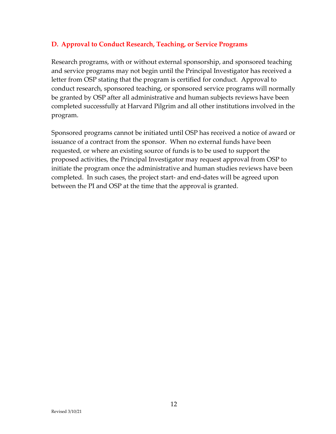## **D. Approval to Conduct Research, Teaching, or Service Programs**

Research programs, with or without external sponsorship, and sponsored teaching and service programs may not begin until the Principal Investigator has received a letter from OSP stating that the program is certified for conduct. Approval to conduct research, sponsored teaching, or sponsored service programs will normally be granted by OSP after all administrative and human subjects reviews have been completed successfully at Harvard Pilgrim and all other institutions involved in the program.

Sponsored programs cannot be initiated until OSP has received a notice of award or issuance of a contract from the sponsor. When no external funds have been requested, or where an existing source of funds is to be used to support the proposed activities, the Principal Investigator may request approval from OSP to initiate the program once the administrative and human studies reviews have been completed. In such cases, the project start- and end-dates will be agreed upon between the PI and OSP at the time that the approval is granted.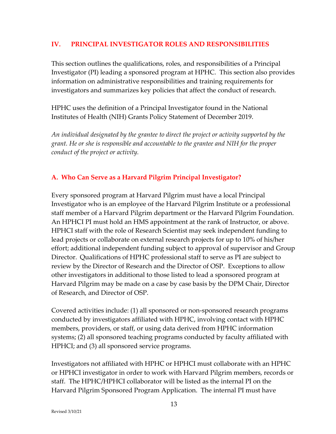#### <span id="page-13-0"></span>**IV. PRINCIPAL INVESTIGATOR ROLES AND RESPONSIBILITIES**

This section outlines the qualifications, roles, and responsibilities of a Principal Investigator (PI) leading a sponsored program at HPHC. This section also provides information on administrative responsibilities and training requirements for investigators and summarizes key policies that affect the conduct of research.

HPHC uses the definition of a Principal Investigator found in the National Institutes of Health (NIH) Grants Policy Statement of December 2019.

*An individual designated by the grantee to direct the project or activity supported by the grant. He or she is responsible and accountable to the grantee and NIH for the proper conduct of the project or activity.* 

## **A. Who Can Serve as a Harvard Pilgrim Principal Investigator?**

Every sponsored program at Harvard Pilgrim must have a local Principal Investigator who is an employee of the Harvard Pilgrim Institute or a professional staff member of a Harvard Pilgrim department or the Harvard Pilgrim Foundation. An HPHCI PI must hold an HMS appointment at the rank of Instructor, or above. HPHCI staff with the role of Research Scientist may seek independent funding to lead projects or collaborate on external research projects for up to 10% of his/her effort; additional independent funding subject to approval of supervisor and Group Director. Qualifications of HPHC professional staff to serve as PI are subject to review by the Director of Research and the Director of OSP. Exceptions to allow other investigators in additional to those listed to lead a sponsored program at Harvard Pilgrim may be made on a case by case basis by the DPM Chair, Director of Research, and Director of OSP.

Covered activities include: (1) all sponsored or non-sponsored research programs conducted by investigators affiliated with HPHC, involving contact with HPHC members, providers, or staff, or using data derived from HPHC information systems; (2) all sponsored teaching programs conducted by faculty affiliated with HPHCI; and (3) all sponsored service programs.

Investigators not affiliated with HPHC or HPHCI must collaborate with an HPHC or HPHCI investigator in order to work with Harvard Pilgrim members, records or staff. The HPHC/HPHCI collaborator will be listed as the internal PI on the Harvard Pilgrim Sponsored Program Application. The internal PI must have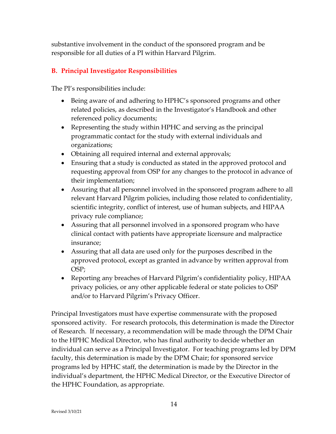substantive involvement in the conduct of the sponsored program and be responsible for all duties of a PI within Harvard Pilgrim.

## **B. Principal Investigator Responsibilities**

The PI's responsibilities include:

- Being aware of and adhering to HPHC's sponsored programs and other related policies, as described in the Investigator's Handbook and other referenced policy documents;
- Representing the study within HPHC and serving as the principal programmatic contact for the study with external individuals and organizations;
- Obtaining all required internal and external approvals;
- Ensuring that a study is conducted as stated in the approved protocol and requesting approval from OSP for any changes to the protocol in advance of their implementation;
- Assuring that all personnel involved in the sponsored program adhere to all relevant Harvard Pilgrim policies, including those related to confidentiality, scientific integrity, conflict of interest, use of human subjects, and HIPAA privacy rule compliance;
- Assuring that all personnel involved in a sponsored program who have clinical contact with patients have appropriate licensure and malpractice insurance;
- Assuring that all data are used only for the purposes described in the approved protocol, except as granted in advance by written approval from OSP;
- Reporting any breaches of Harvard Pilgrim's confidentiality policy, HIPAA privacy policies, or any other applicable federal or state policies to OSP and/or to Harvard Pilgrim's Privacy Officer.

Principal Investigators must have expertise commensurate with the proposed sponsored activity. For research protocols, this determination is made the Director of Research. If necessary, a recommendation will be made through the DPM Chair to the HPHC Medical Director, who has final authority to decide whether an individual can serve as a Principal Investigator. For teaching programs led by DPM faculty, this determination is made by the DPM Chair; for sponsored service programs led by HPHC staff, the determination is made by the Director in the individual's department, the HPHC Medical Director, or the Executive Director of the HPHC Foundation, as appropriate.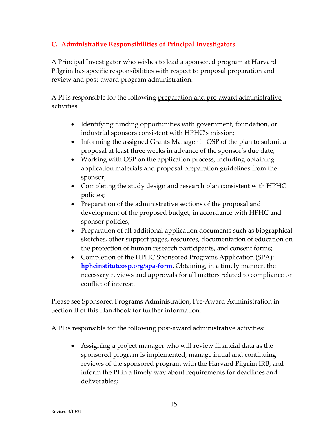# **C. Administrative Responsibilities of Principal Investigators**

A Principal Investigator who wishes to lead a sponsored program at Harvard Pilgrim has specific responsibilities with respect to proposal preparation and review and post-award program administration.

A PI is responsible for the following preparation and pre-award administrative activities:

- Identifying funding opportunities with government, foundation, or industrial sponsors consistent with HPHC's mission;
- Informing the assigned Grants Manager in OSP of the plan to submit a proposal at least three weeks in advance of the sponsor's due date;
- Working with OSP on the application process, including obtaining application materials and proposal preparation guidelines from the sponsor;
- Completing the study design and research plan consistent with HPHC policies;
- Preparation of the administrative sections of the proposal and development of the proposed budget, in accordance with HPHC and sponsor policies;
- Preparation of all additional application documents such as biographical sketches, other support pages, resources, documentation of education on the protection of human research participants, and consent forms;
- Completion of the HPHC Sponsored Programs Application (SPA): **[hphcinstituteosp.org/spa-form](https://www.hphcinstituteosp.org/spa-form)**. Obtaining, in a timely manner, the necessary reviews and approvals for all matters related to compliance or conflict of interest.

Please see Sponsored Programs Administration, Pre-Award Administration in Section II of this Handbook for further information.

A PI is responsible for the following post-award administrative activities:

• Assigning a project manager who will review financial data as the sponsored program is implemented, manage initial and continuing reviews of the sponsored program with the Harvard Pilgrim IRB, and inform the PI in a timely way about requirements for deadlines and deliverables;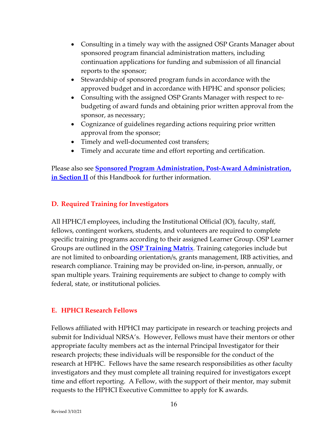- Consulting in a timely way with the assigned OSP Grants Manager about sponsored program financial administration matters, including continuation applications for funding and submission of all financial reports to the sponsor;
- Stewardship of sponsored program funds in accordance with the approved budget and in accordance with HPHC and sponsor policies;
- Consulting with the assigned OSP Grants Manager with respect to rebudgeting of award funds and obtaining prior written approval from the sponsor, as necessary;
- Cognizance of guidelines regarding actions requiring prior written approval from the sponsor;
- Timely and well-documented cost transfers;
- Timely and accurate time and effort reporting and certification.

Please also see **[Sponsored Program Administration, Post-Award Administration,](#page-8-0)  [in Section II](#page-8-0)** of this Handbook for further information.

## **D. Required Training for Investigators**

All HPHC/I employees, including the Institutional Official (IO), faculty, staff, fellows, contingent workers, students, and volunteers are required to complete specific training programs according to their assigned Learner Group. OSP Learner Groups are outlined in the **[OSP Training Matrix](https://cc23704c-00b8-4246-85d8-99a29b853714.filesusr.com/ugd/db4ed6_8a11916fa83e44a4b08a4170802a5592.pdf)**. Training categories include but are not limited to onboarding orientation/s, grants management, IRB activities, and research compliance. Training may be provided on-line, in-person, annually, or span multiple years. Training requirements are subject to change to comply with federal, state, or institutional policies.

#### **E. HPHCI Research Fellows**

Fellows affiliated with HPHCI may participate in research or teaching projects and submit for Individual NRSA's. However, Fellows must have their mentors or other appropriate faculty members act as the internal Principal Investigator for their research projects; these individuals will be responsible for the conduct of the research at HPHC. Fellows have the same research responsibilities as other faculty investigators and they must complete all training required for investigators except time and effort reporting. A Fellow, with the support of their mentor, may submit requests to the HPHCI Executive Committee to apply for K awards.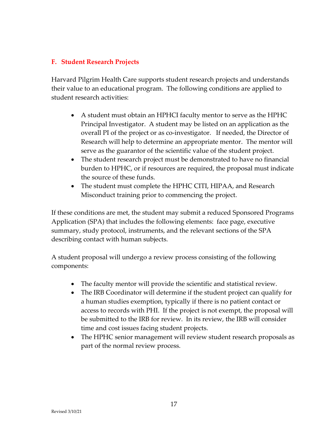#### **F. Student Research Projects**

Harvard Pilgrim Health Care supports student research projects and understands their value to an educational program. The following conditions are applied to student research activities:

- A student must obtain an HPHCI faculty mentor to serve as the HPHC Principal Investigator. A student may be listed on an application as the overall PI of the project or as co-investigator. If needed, the Director of Research will help to determine an appropriate mentor. The mentor will serve as the guarantor of the scientific value of the student project.
- The student research project must be demonstrated to have no financial burden to HPHC, or if resources are required, the proposal must indicate the source of these funds.
- The student must complete the HPHC CITI, HIPAA, and Research Misconduct training prior to commencing the project.

If these conditions are met, the student may submit a reduced Sponsored Programs Application (SPA) that includes the following elements: face page, executive summary, study protocol, instruments, and the relevant sections of the SPA describing contact with human subjects.

A student proposal will undergo a review process consisting of the following components:

- The faculty mentor will provide the scientific and statistical review.
- The IRB Coordinator will determine if the student project can qualify for a human studies exemption, typically if there is no patient contact or access to records with PHI. If the project is not exempt, the proposal will be submitted to the IRB for review. In its review, the IRB will consider time and cost issues facing student projects.
- The HPHC senior management will review student research proposals as part of the normal review process.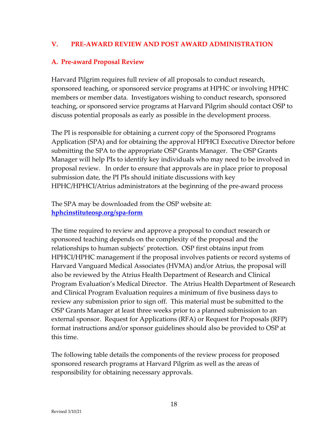#### <span id="page-18-0"></span>**V. PRE-AWARD REVIEW AND POST AWARD ADMINISTRATION**

#### **A. Pre-award Proposal Review**

Harvard Pilgrim requires full review of all proposals to conduct research, sponsored teaching, or sponsored service programs at HPHC or involving HPHC members or member data. Investigators wishing to conduct research, sponsored teaching, or sponsored service programs at Harvard Pilgrim should contact OSP to discuss potential proposals as early as possible in the development process.

The PI is responsible for obtaining a current copy of the Sponsored Programs Application (SPA) and for obtaining the approval HPHCI Executive Director before submitting the SPA to the appropriate OSP Grants Manager. The OSP Grants Manager will help PIs to identify key individuals who may need to be involved in proposal review. In order to ensure that approvals are in place prior to proposal submission date, the PI PIs should initiate discussions with key HPHC/HPHCI/Atrius administrators at the beginning of the pre-award process

The SPA may be downloaded from the OSP website at: **[hphcinstituteosp.org/spa-form](https://www.hphcinstituteosp.org/spa-form)**

The time required to review and approve a proposal to conduct research or sponsored teaching depends on the complexity of the proposal and the relationships to human subjects' protection. OSP first obtains input from HPHCI/HPHC management if the proposal involves patients or record systems of Harvard Vanguard Medical Associates (HVMA) and/or Atrius, the proposal will also be reviewed by the Atrius Health Department of Research and Clinical Program Evaluation's Medical Director. The Atrius Health Department of Research and Clinical Program Evaluation requires a minimum of five business days to review any submission prior to sign off. This material must be submitted to the OSP Grants Manager at least three weeks prior to a planned submission to an external sponsor. Request for Applications (RFA) or Request for Proposals (RFP) format instructions and/or sponsor guidelines should also be provided to OSP at this time.

The following table details the components of the review process for proposed sponsored research programs at Harvard Pilgrim as well as the areas of responsibility for obtaining necessary approvals.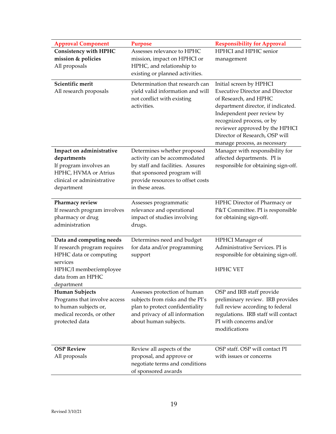| <b>Approval Component</b>    | <b>Purpose</b>                    | <b>Responsibility for Approval</b>     |
|------------------------------|-----------------------------------|----------------------------------------|
| <b>Consistency with HPHC</b> | Assesses relevance to HPHC        | HPHCI and HPHC senior                  |
| mission & policies           | mission, impact on HPHCI or       | management                             |
| All proposals                | HPHC, and relationship to         |                                        |
|                              | existing or planned activities.   |                                        |
| Scientific merit             | Determination that research can   | Initial screen by HPHCI                |
| All research proposals       | yield valid information and will  | <b>Executive Director and Director</b> |
|                              | not conflict with existing        | of Research, and HPHC                  |
|                              | activities.                       | department director, if indicated.     |
|                              |                                   | Independent peer review by             |
|                              |                                   | recognized process, or by              |
|                              |                                   | reviewer approved by the HPHCI         |
|                              |                                   | Director of Research, OSP will         |
|                              |                                   | manage process, as necessary           |
| Impact on administrative     | Determines whether proposed       | Manager with responsibility for        |
| departments                  | activity can be accommodated      | affected departments. PI is            |
| If program involves an       | by staff and facilities. Assures  | responsible for obtaining sign-off.    |
| HPHC, HVMA or Atrius         | that sponsored program will       |                                        |
| clinical or administrative   | provide resources to offset costs |                                        |
| department                   | in these areas.                   |                                        |
|                              |                                   |                                        |
| Pharmacy review              | Assesses programmatic             | HPHC Director of Pharmacy or           |
| If research program involves | relevance and operational         | P&T Committee. PI is responsible       |
| pharmacy or drug             | impact of studies involving       | for obtaining sign-off.                |
| administration               | drugs.                            |                                        |
| Data and computing needs     | Determines need and budget        | HPHCI Manager of                       |
| If research program requires | for data and/or programming       | Administrative Services. PI is         |
| HPHC data or computing       | support                           | responsible for obtaining sign-off.    |
| services                     |                                   |                                        |
| HPHC/I member/employee       |                                   | <b>HPHC VET</b>                        |
| data from an HPHC            |                                   |                                        |
| department                   |                                   |                                        |
| <b>Human Subjects</b>        | Assesses protection of human      | OSP and IRB staff provide              |
| Programs that involve access | subjects from risks and the PI's  | preliminary review. IRB provides       |
| to human subjects or,        | plan to protect confidentiality   | full review according to federal       |
| medical records, or other    | and privacy of all information    | regulations. IRB staff will contact    |
| protected data               | about human subjects.             | PI with concerns and/or                |
|                              |                                   | modifications                          |
|                              |                                   |                                        |
| <b>OSP Review</b>            | Review all aspects of the         | OSP staff. OSP will contact PI         |
| All proposals                | proposal, and approve or          | with issues or concerns                |
|                              | negotiate terms and conditions    |                                        |
|                              | of sponsored awards               |                                        |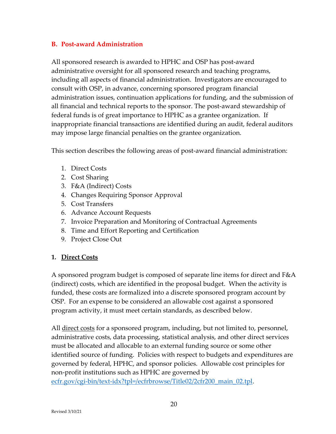#### **B. Post-award Administration**

All sponsored research is awarded to HPHC and OSP has post-award administrative oversight for all sponsored research and teaching programs, including all aspects of financial administration. Investigators are encouraged to consult with OSP, in advance, concerning sponsored program financial administration issues, continuation applications for funding, and the submission of all financial and technical reports to the sponsor. The post-award stewardship of federal funds is of great importance to HPHC as a grantee organization. If inappropriate financial transactions are identified during an audit, federal auditors may impose large financial penalties on the grantee organization.

This section describes the following areas of post-award financial administration:

- 1. Direct Costs
- 2. Cost Sharing
- 3. F&A (Indirect) Costs
- 4. Changes Requiring Sponsor Approval
- 5. Cost Transfers
- 6. Advance Account Requests
- 7. Invoice Preparation and Monitoring of Contractual Agreements
- 8. Time and Effort Reporting and Certification
- 9. Project Close Out

#### **1. Direct Costs**

A sponsored program budget is composed of separate line items for direct and F&A (indirect) costs, which are identified in the proposal budget. When the activity is funded, these costs are formalized into a discrete sponsored program account by OSP. For an expense to be considered an allowable cost against a sponsored program activity, it must meet certain standards, as described below.

All <u>direct costs</u> for a sponsored program, including, but not limited to, personnel, administrative costs, data processing, statistical analysis, and other direct services must be allocated and allocable to an external funding source or some other identified source of funding. Policies with respect to budgets and expenditures are governed by federal, HPHC, and sponsor policies. Allowable cost principles for non-profit institutions such as HPHC are governed by [ecfr.gov/cgi-bin/text-idx?tpl=/ecfrbrowse/Title02/2cfr200\\_main\\_02.tpl.](https://www.ecfr.gov/cgi-bin/text-idx?tpl=/ecfrbrowse/Title02/2cfr200_main_02.tpl)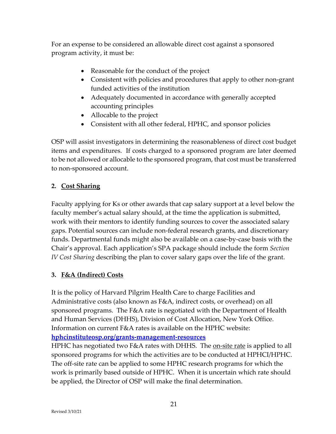For an expense to be considered an allowable direct cost against a sponsored program activity, it must be:

- Reasonable for the conduct of the project
- Consistent with policies and procedures that apply to other non-grant funded activities of the institution
- Adequately documented in accordance with generally accepted accounting principles
- Allocable to the project
- Consistent with all other federal, HPHC, and sponsor policies

OSP will assist investigators in determining the reasonableness of direct cost budget items and expenditures. If costs charged to a sponsored program are later deemed to be not allowed or allocable to the sponsored program, that cost must be transferred to non-sponsored account.

#### **2. Cost Sharing**

Faculty applying for Ks or other awards that cap salary support at a level below the faculty member's actual salary should, at the time the application is submitted, work with their mentors to identify funding sources to cover the associated salary gaps. Potential sources can include non-federal research grants, and discretionary funds. Departmental funds might also be available on a case-by-case basis with the Chair's approval. Each application's SPA package should include the form *Section IV Cost Sharing* describing the plan to cover salary gaps over the life of the grant.

#### **3. F&A (Indirect) Costs**

It is the policy of Harvard Pilgrim Health Care to charge Facilities and Administrative costs (also known as F&A, indirect costs, or overhead) on all sponsored programs. The F&A rate is negotiated with the Department of Health and Human Services (DHHS), Division of Cost Allocation, New York Office. Information on current F&A rates is available on the HPHC website: **[hphcinstituteosp.org/grants-management-resources](https://www.hphcinstituteosp.org/grants-management-resources)**

HPHC has negotiated two F&A rates with DHHS. The <u>on-site rate</u> is applied to all sponsored programs for which the activities are to be conducted at HPHCI/HPHC. The off-site rate can be applied to some HPHC research programs for which the work is primarily based outside of HPHC. When it is uncertain which rate should be applied, the Director of OSP will make the final determination.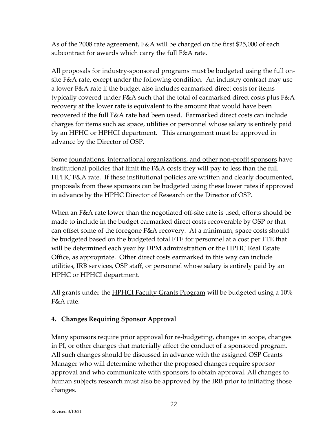As of the 2008 rate agreement, F&A will be charged on the first \$25,000 of each subcontract for awards which carry the full F&A rate.

All proposals for industry-sponsored programs must be budgeted using the full onsite F&A rate, except under the following condition. An industry contract may use a lower F&A rate if the budget also includes earmarked direct costs for items typically covered under F&A such that the total of earmarked direct costs plus F&A recovery at the lower rate is equivalent to the amount that would have been recovered if the full F&A rate had been used. Earmarked direct costs can include charges for items such as: space, utilities or personnel whose salary is entirely paid by an HPHC or HPHCI department. This arrangement must be approved in advance by the Director of OSP.

Some foundations, international organizations, and other non-profit sponsors have institutional policies that limit the F&A costs they will pay to less than the full HPHC F&A rate. If these institutional policies are written and clearly documented, proposals from these sponsors can be budgeted using these lower rates if approved in advance by the HPHC Director of Research or the Director of OSP.

When an F&A rate lower than the negotiated off-site rate is used, efforts should be made to include in the budget earmarked direct costs recoverable by OSP or that can offset some of the foregone F&A recovery. At a minimum, space costs should be budgeted based on the budgeted total FTE for personnel at a cost per FTE that will be determined each year by DPM administration or the HPHC Real Estate Office, as appropriate. Other direct costs earmarked in this way can include utilities, IRB services, OSP staff, or personnel whose salary is entirely paid by an HPHC or HPHCI department.

All grants under the **HPHCI Faculty Grants Program** will be budgeted using a 10% F&A rate.

# **4. Changes Requiring Sponsor Approval**

Many sponsors require prior approval for re-budgeting, changes in scope, changes in PI, or other changes that materially affect the conduct of a sponsored program. All such changes should be discussed in advance with the assigned OSP Grants Manager who will determine whether the proposed changes require sponsor approval and who communicate with sponsors to obtain approval. All changes to human subjects research must also be approved by the IRB prior to initiating those changes.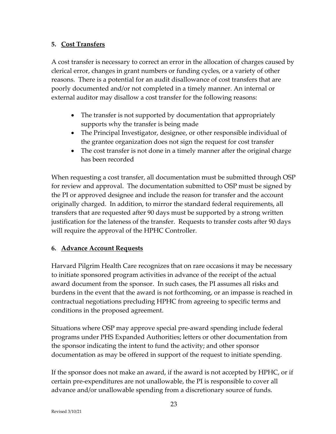## **5. Cost Transfers**

A cost transfer is necessary to correct an error in the allocation of charges caused by clerical error, changes in grant numbers or funding cycles, or a variety of other reasons. There is a potential for an audit disallowance of cost transfers that are poorly documented and/or not completed in a timely manner. An internal or external auditor may disallow a cost transfer for the following reasons:

- The transfer is not supported by documentation that appropriately supports why the transfer is being made
- The Principal Investigator, designee, or other responsible individual of the grantee organization does not sign the request for cost transfer
- The cost transfer is not done in a timely manner after the original charge has been recorded

When requesting a cost transfer, all documentation must be submitted through OSP for review and approval. The documentation submitted to OSP must be signed by the PI or approved designee and include the reason for transfer and the account originally charged. In addition, to mirror the standard federal requirements, all transfers that are requested after 90 days must be supported by a strong written justification for the lateness of the transfer. Requests to transfer costs after 90 days will require the approval of the HPHC Controller.

#### **6. Advance Account Requests**

Harvard Pilgrim Health Care recognizes that on rare occasions it may be necessary to initiate sponsored program activities in advance of the receipt of the actual award document from the sponsor. In such cases, the PI assumes all risks and burdens in the event that the award is not forthcoming, or an impasse is reached in contractual negotiations precluding HPHC from agreeing to specific terms and conditions in the proposed agreement.

Situations where OSP may approve special pre-award spending include federal programs under PHS Expanded Authorities; letters or other documentation from the sponsor indicating the intent to fund the activity; and other sponsor documentation as may be offered in support of the request to initiate spending.

If the sponsor does not make an award, if the award is not accepted by HPHC, or if certain pre-expenditures are not unallowable, the PI is responsible to cover all advance and/or unallowable spending from a discretionary source of funds.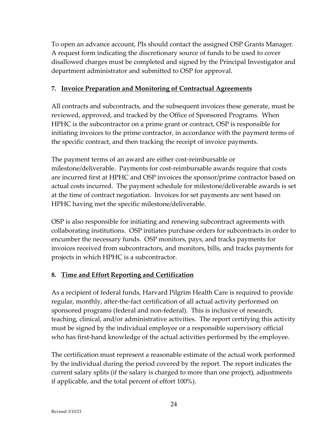To open an advance account, PIs should contact the assigned OSP Grants Manager. A request form indicating the discretionary source of funds to be used to cover disallowed charges must be completed and signed by the Principal Investigator and department administrator and submitted to OSP for approval.

## **7. Invoice Preparation and Monitoring of Contractual Agreements**

All contracts and subcontracts, and the subsequent invoices these generate, must be reviewed, approved, and tracked by the Office of Sponsored Programs. When HPHC is the subcontractor on a prime grant or contract, OSP is responsible for initiating invoices to the prime contractor, in accordance with the payment terms of the specific contract, and then tracking the receipt of invoice payments.

The payment terms of an award are either cost-reimbursable or milestone/deliverable. Payments for cost-reimbursable awards require that costs are incurred first at HPHC and OSP invoices the sponsor/prime contractor based on actual costs incurred. The payment schedule for milestone/deliverable awards is set at the time of contract negotiation. Invoices for set payments are sent based on HPHC having met the specific milestone/deliverable.

OSP is also responsible for initiating and renewing subcontract agreements with collaborating institutions. OSP initiates purchase orders for subcontracts in order to encumber the necessary funds. OSP monitors, pays, and tracks payments for invoices received from subcontractors, and monitors, bills, and tracks payments for projects in which HPHC is a subcontractor.

# **8. Time and Effort Reporting and Certification**

As a recipient of federal funds, Harvard Pilgrim Health Care is required to provide regular, monthly, after-the-fact certification of all actual activity performed on sponsored programs (federal and non-federal). This is inclusive of research, teaching, clinical, and/or administrative activities. The report certifying this activity must be signed by the individual employee or a responsible supervisory official who has first-hand knowledge of the actual activities performed by the employee.

The certification must represent a reasonable estimate of the actual work performed by the individual during the period covered by the report. The report indicates the current salary splits (if the salary is charged to more than one project), adjustments if applicable, and the total percent of effort 100%).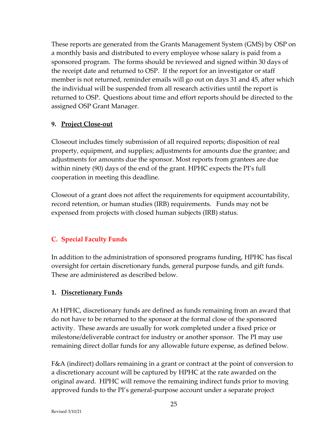These reports are generated from the Grants Management System (GMS) by OSP on a monthly basis and distributed to every employee whose salary is paid from a sponsored program. The forms should be reviewed and signed within 30 days of the receipt date and returned to OSP. If the report for an investigator or staff member is not returned, reminder emails will go out on days 31 and 45, after which the individual will be suspended from all research activities until the report is returned to OSP. Questions about time and effort reports should be directed to the assigned OSP Grant Manager.

## **9. Project Close-out**

Closeout includes timely submission of all required reports; disposition of real property, equipment, and supplies; adjustments for amounts due the grantee; and adjustments for amounts due the sponsor. Most reports from grantees are due within ninety (90) days of the end of the grant. HPHC expects the PI's full cooperation in meeting this deadline.

Closeout of a grant does not affect the requirements for equipment accountability, record retention, or human studies (IRB) requirements. Funds may not be expensed from projects with closed human subjects (IRB) status.

# **C. Special Faculty Funds**

In addition to the administration of sponsored programs funding, HPHC has fiscal oversight for certain discretionary funds, general purpose funds, and gift funds. These are administered as described below.

# **1. Discretionary Funds**

At HPHC, discretionary funds are defined as funds remaining from an award that do not have to be returned to the sponsor at the formal close of the sponsored activity. These awards are usually for work completed under a fixed price or milestone/deliverable contract for industry or another sponsor. The PI may use remaining direct dollar funds for any allowable future expense, as defined below.

F&A (indirect) dollars remaining in a grant or contract at the point of conversion to a discretionary account will be captured by HPHC at the rate awarded on the original award. HPHC will remove the remaining indirect funds prior to moving approved funds to the PI's general-purpose account under a separate project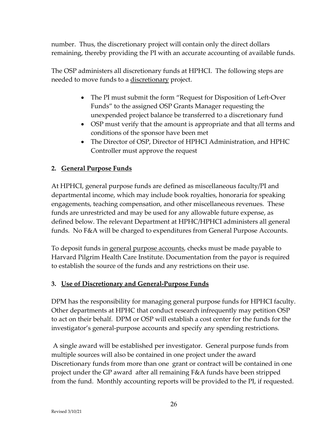number. Thus, the discretionary project will contain only the direct dollars remaining, thereby providing the PI with an accurate accounting of available funds.

The OSP administers all discretionary funds at HPHCI. The following steps are needed to move funds to a discretionary project.

- The PI must submit the form "Request for Disposition of Left-Over Funds" to the assigned OSP Grants Manager requesting the unexpended project balance be transferred to a discretionary fund
- OSP must verify that the amount is appropriate and that all terms and conditions of the sponsor have been met
- The Director of OSP, Director of HPHCI Administration, and HPHC Controller must approve the request

# **2. General Purpose Funds**

At HPHCI, general purpose funds are defined as miscellaneous faculty/PI and departmental income, which may include book royalties, honoraria for speaking engagements, teaching compensation, and other miscellaneous revenues. These funds are unrestricted and may be used for any allowable future expense, as defined below. The relevant Department at HPHC/HPHCI administers all general funds. No F&A will be charged to expenditures from General Purpose Accounts.

To deposit funds in general purpose accounts, checks must be made payable to Harvard Pilgrim Health Care Institute. Documentation from the payor is required to establish the source of the funds and any restrictions on their use.

#### **3. Use of Discretionary and General-Purpose Funds**

DPM has the responsibility for managing general purpose funds for HPHCI faculty. Other departments at HPHC that conduct research infrequently may petition OSP to act on their behalf. DPM or OSP will establish a cost center for the funds for the investigator's general-purpose accounts and specify any spending restrictions.

A single award will be established per investigator. General purpose funds from multiple sources will also be contained in one project under the award Discretionary funds from more than one grant or contract will be contained in one project under the GP award after all remaining F&A funds have been stripped from the fund. Monthly accounting reports will be provided to the PI, if requested.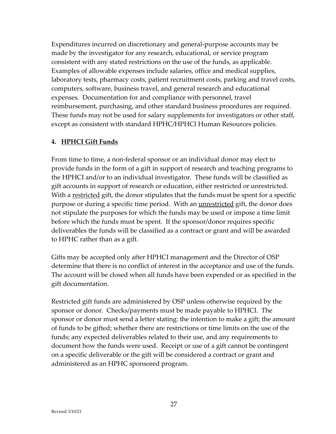Expenditures incurred on discretionary and general-purpose accounts may be made by the investigator for any research, educational, or service program consistent with any stated restrictions on the use of the funds, as applicable. Examples of allowable expenses include salaries, office and medical supplies, laboratory tests, pharmacy costs, patient recruitment costs, parking and travel costs, computers, software, business travel, and general research and educational expenses. Documentation for and compliance with personnel, travel reimbursement, purchasing, and other standard business procedures are required. These funds may not be used for salary supplements for investigators or other staff, except as consistent with standard HPHC/HPHCI Human Resources policies.

#### **4. HPHCI Gift Funds**

From time to time, a non-federal sponsor or an individual donor may elect to provide funds in the form of a gift in support of research and teaching programs to the HPHCI and/or to an individual investigator. These funds will be classified as gift accounts in support of research or education, either restricted or unrestricted. With a <u>restricted</u> gift, the donor stipulates that the funds must be spent for a specific purpose or during a specific time period. With an <u>unrestricted</u> gift, the donor does not stipulate the purposes for which the funds may be used or impose a time limit before which the funds must be spent. If the sponsor/donor requires specific deliverables the funds will be classified as a contract or grant and will be awarded to HPHC rather than as a gift.

Gifts may be accepted only after HPHCI management and the Director of OSP determine that there is no conflict of interest in the acceptance and use of the funds. The account will be closed when all funds have been expended or as specified in the gift documentation.

Restricted gift funds are administered by OSP unless otherwise required by the sponsor or donor. Checks/payments must be made payable to HPHCI. The sponsor or donor must send a letter stating: the intention to make a gift; the amount of funds to be gifted; whether there are restrictions or time limits on the use of the funds; any expected deliverables related to their use, and any requirements to document how the funds were used. Receipt or use of a gift cannot be contingent on a specific deliverable or the gift will be considered a contract or grant and administered as an HPHC sponsored program.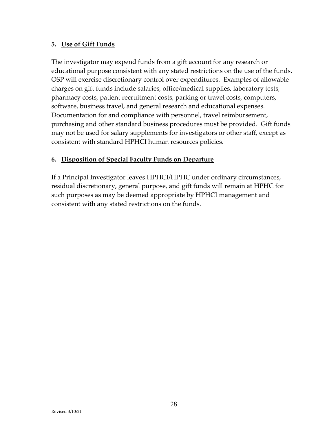## **5. Use of Gift Funds**

The investigator may expend funds from a gift account for any research or educational purpose consistent with any stated restrictions on the use of the funds. OSP will exercise discretionary control over expenditures. Examples of allowable charges on gift funds include salaries, office/medical supplies, laboratory tests, pharmacy costs, patient recruitment costs, parking or travel costs, computers, software, business travel, and general research and educational expenses. Documentation for and compliance with personnel, travel reimbursement, purchasing and other standard business procedures must be provided. Gift funds may not be used for salary supplements for investigators or other staff, except as consistent with standard HPHCI human resources policies.

## **6. Disposition of Special Faculty Funds on Departure**

If a Principal Investigator leaves HPHCI/HPHC under ordinary circumstances, residual discretionary, general purpose, and gift funds will remain at HPHC for such purposes as may be deemed appropriate by HPHCI management and consistent with any stated restrictions on the funds.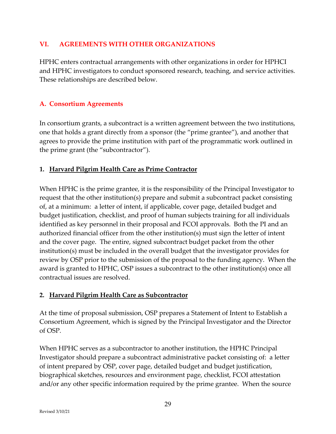## <span id="page-29-0"></span>**VI. AGREEMENTS WITH OTHER ORGANIZATIONS**

HPHC enters contractual arrangements with other organizations in order for HPHCI and HPHC investigators to conduct sponsored research, teaching, and service activities. These relationships are described below.

# **A. Consortium Agreements**

In consortium grants, a subcontract is a written agreement between the two institutions, one that holds a grant directly from a sponsor (the "prime grantee"), and another that agrees to provide the prime institution with part of the programmatic work outlined in the prime grant (the "subcontractor").

## **1. Harvard Pilgrim Health Care as Prime Contractor**

When HPHC is the prime grantee, it is the responsibility of the Principal Investigator to request that the other institution(s) prepare and submit a subcontract packet consisting of, at a minimum: a letter of intent, if applicable, cover page, detailed budget and budget justification, checklist, and proof of human subjects training for all individuals identified as key personnel in their proposal and FCOI approvals. Both the PI and an authorized financial officer from the other institution(s) must sign the letter of intent and the cover page. The entire, signed subcontract budget packet from the other institution(s) must be included in the overall budget that the investigator provides for review by OSP prior to the submission of the proposal to the funding agency. When the award is granted to HPHC, OSP issues a subcontract to the other institution(s) once all contractual issues are resolved.

#### **2. Harvard Pilgrim Health Care as Subcontractor**

At the time of proposal submission, OSP prepares a Statement of Intent to Establish a Consortium Agreement, which is signed by the Principal Investigator and the Director of OSP.

When HPHC serves as a subcontractor to another institution, the HPHC Principal Investigator should prepare a subcontract administrative packet consisting of: a letter of intent prepared by OSP, cover page, detailed budget and budget justification, biographical sketches, resources and environment page, checklist, FCOI attestation and/or any other specific information required by the prime grantee. When the source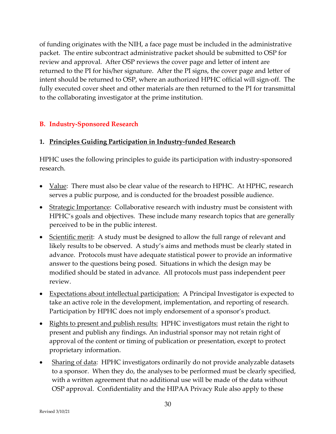of funding originates with the NIH, a face page must be included in the administrative packet. The entire subcontract administrative packet should be submitted to OSP for review and approval. After OSP reviews the cover page and letter of intent are returned to the PI for his/her signature. After the PI signs, the cover page and letter of intent should be returned to OSP, where an authorized HPHC official will sign-off. The fully executed cover sheet and other materials are then returned to the PI for transmittal to the collaborating investigator at the prime institution.

# **B. Industry-Sponsored Research**

# **1. Principles Guiding Participation in Industry-funded Research**

HPHC uses the following principles to guide its participation with industry-sponsored research.

- Value: There must also be clear value of the research to HPHC. At HPHC, research serves a public purpose, and is conducted for the broadest possible audience.
- Strategic Importance: Collaborative research with industry must be consistent with HPHC's goals and objectives. These include many research topics that are generally perceived to be in the public interest.
- Scientific merit: A study must be designed to allow the full range of relevant and likely results to be observed. A study's aims and methods must be clearly stated in advance. Protocols must have adequate statistical power to provide an informative answer to the questions being posed. Situations in which the design may be modified should be stated in advance. All protocols must pass independent peer review.
- Expectations about intellectual participation: A Principal Investigator is expected to take an active role in the development, implementation, and reporting of research. Participation by HPHC does not imply endorsement of a sponsor's product.
- Rights to present and publish results: HPHC investigators must retain the right to present and publish any findings. An industrial sponsor may not retain right of approval of the content or timing of publication or presentation, except to protect proprietary information.
- Sharing of data: HPHC investigators ordinarily do not provide analyzable datasets to a sponsor. When they do, the analyses to be performed must be clearly specified, with a written agreement that no additional use will be made of the data without OSP approval. Confidentiality and the HIPAA Privacy Rule also apply to these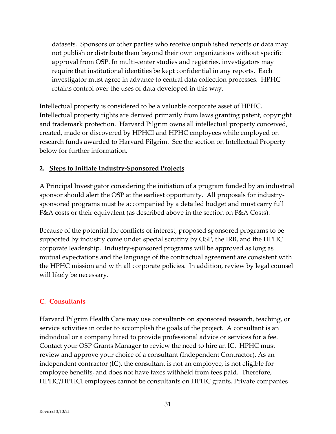datasets. Sponsors or other parties who receive unpublished reports or data may not publish or distribute them beyond their own organizations without specific approval from OSP. In multi-center studies and registries, investigators may require that institutional identities be kept confidential in any reports. Each investigator must agree in advance to central data collection processes. HPHC retains control over the uses of data developed in this way.

Intellectual property is considered to be a valuable corporate asset of HPHC. Intellectual property rights are derived primarily from laws granting patent, copyright and trademark protection. Harvard Pilgrim owns all intellectual property conceived, created, made or discovered by HPHCI and HPHC employees while employed on research funds awarded to Harvard Pilgrim. See the section on Intellectual Property below for further information.

## **2. Steps to Initiate Industry-Sponsored Projects**

A Principal Investigator considering the initiation of a program funded by an industrial sponsor should alert the OSP at the earliest opportunity. All proposals for industrysponsored programs must be accompanied by a detailed budget and must carry full F&A costs or their equivalent (as described above in the section on F&A Costs).

Because of the potential for conflicts of interest, proposed sponsored programs to be supported by industry come under special scrutiny by OSP, the IRB, and the HPHC corporate leadership. Industry-sponsored programs will be approved as long as mutual expectations and the language of the contractual agreement are consistent with the HPHC mission and with all corporate policies. In addition, review by legal counsel will likely be necessary.

# **C. Consultants**

Harvard Pilgrim Health Care may use consultants on sponsored research, teaching, or service activities in order to accomplish the goals of the project. A consultant is an individual or a company hired to provide professional advice or services for a fee. Contact your OSP Grants Manager to review the need to hire an IC. HPHC must review and approve your choice of a consultant (Independent Contractor). As an independent contractor (IC), the consultant is not an employee, is not eligible for employee benefits, and does not have taxes withheld from fees paid. Therefore, HPHC/HPHCI employees cannot be consultants on HPHC grants. Private companies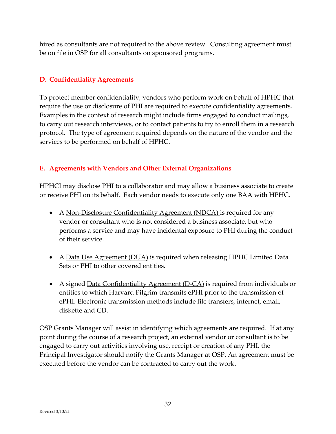hired as consultants are not required to the above review. Consulting agreement must be on file in OSP for all consultants on sponsored programs.

## **D. Confidentiality Agreements**

To protect member confidentiality, vendors who perform work on behalf of HPHC that require the use or disclosure of PHI are required to execute confidentiality agreements. Examples in the context of research might include firms engaged to conduct mailings, to carry out research interviews, or to contact patients to try to enroll them in a research protocol. The type of agreement required depends on the nature of the vendor and the services to be performed on behalf of HPHC.

#### **E. Agreements with Vendors and Other External Organizations**

HPHCI may disclose PHI to a collaborator and may allow a business associate to create or receive PHI on its behalf. Each vendor needs to execute only one BAA with HPHC.

- A <u>Non-Disclosure Confidentiality Agreement (NDCA)</u> is required for any vendor or consultant who is not considered a business associate, but who performs a service and may have incidental exposure to PHI during the conduct of their service.
- A Data Use Agreement (DUA) is required when releasing HPHC Limited Data Sets or PHI to other covered entities.
- A signed Data Confidentiality Agreement (D-CA) is required from individuals or entities to which Harvard Pilgrim transmits ePHI prior to the transmission of ePHI. Electronic transmission methods include file transfers, internet, email, diskette and CD.

OSP Grants Manager will assist in identifying which agreements are required. If at any point during the course of a research project, an external vendor or consultant is to be engaged to carry out activities involving use, receipt or creation of any PHI, the Principal Investigator should notify the Grants Manager at OSP. An agreement must be executed before the vendor can be contracted to carry out the work.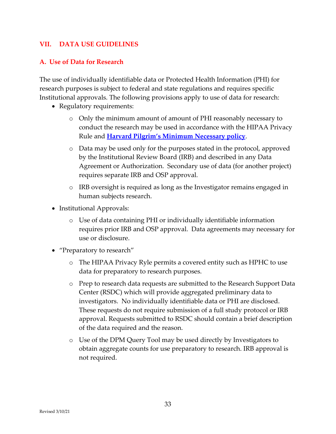#### <span id="page-33-0"></span>**VII. DATA USE GUIDELINES**

#### **A. Use of Data for Research**

The use of individually identifiable data or Protected Health Information (PHI) for research purposes is subject to federal and state regulations and requires specific Institutional approvals. The following provisions apply to use of data for research:

- Regulatory requirements:
	- o Only the minimum amount of amount of PHI reasonably necessary to conduct the research may be used in accordance with the HIPAA Privacy Rule and **[Harvard Pilgrim's Minimum Necessary policy](https://hphc.jiveon.com/docs/DOC-17733-use-and-disclosure-of-phi-and-pi)**.
	- o Data may be used only for the purposes stated in the protocol, approved by the Institutional Review Board (IRB) and described in any Data Agreement or Authorization. Secondary use of data (for another project) requires separate IRB and OSP approval.
	- o IRB oversight is required as long as the Investigator remains engaged in human subjects research.
- Institutional Approvals:
	- o Use of data containing PHI or individually identifiable information requires prior IRB and OSP approval. Data agreements may necessary for use or disclosure.
- "Preparatory to research"
	- o The HIPAA Privacy Ryle permits a covered entity such as HPHC to use data for preparatory to research purposes.
	- o Prep to research data requests are submitted to the Research Support Data Center (RSDC) which will provide aggregated preliminary data to investigators. No individually identifiable data or PHI are disclosed. These requests do not require submission of a full study protocol or IRB approval. Requests submitted to RSDC should contain a brief description of the data required and the reason.
	- o Use of the DPM Query Tool may be used directly by Investigators to obtain aggregate counts for use preparatory to research. IRB approval is not required.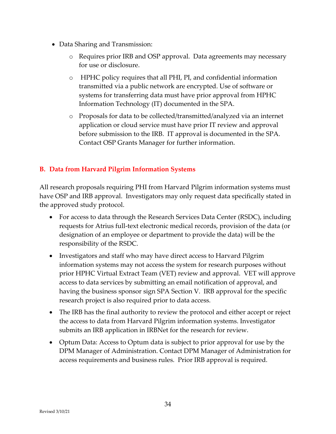- Data Sharing and Transmission:
	- o Requires prior IRB and OSP approval. Data agreements may necessary for use or disclosure.
	- o HPHC policy requires that all PHI, PI, and confidential information transmitted via a public network are encrypted. Use of software or systems for transferring data must have prior approval from HPHC Information Technology (IT) documented in the SPA.
	- o Proposals for data to be collected/transmitted/analyzed via an internet application or cloud service must have prior IT review and approval before submission to the IRB. IT approval is documented in the SPA. Contact OSP Grants Manager for further information.

#### **B. Data from Harvard Pilgrim Information Systems**

All research proposals requiring PHI from Harvard Pilgrim information systems must have OSP and IRB approval. Investigators may only request data specifically stated in the approved study protocol.

- For access to data through the Research Services Data Center (RSDC), including requests for Atrius full-text electronic medical records, provision of the data (or designation of an employee or department to provide the data) will be the responsibility of the RSDC.
- Investigators and staff who may have direct access to Harvard Pilgrim information systems may not access the system for research purposes without prior HPHC Virtual Extract Team (VET) review and approval. VET will approve access to data services by submitting an email notification of approval, and having the business sponsor sign SPA Section V. IRB approval for the specific research project is also required prior to data access.
- The IRB has the final authority to review the protocol and either accept or reject the access to data from Harvard Pilgrim information systems. Investigator submits an IRB application in IRBNet for the research for review.
- Optum Data: Access to Optum data is subject to prior approval for use by the DPM Manager of Administration. Contact DPM Manager of Administration for access requirements and business rules. Prior IRB approval is required.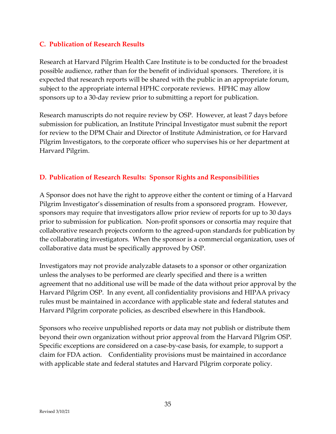#### **C. Publication of Research Results**

Research at Harvard Pilgrim Health Care Institute is to be conducted for the broadest possible audience, rather than for the benefit of individual sponsors. Therefore, it is expected that research reports will be shared with the public in an appropriate forum, subject to the appropriate internal HPHC corporate reviews. HPHC may allow sponsors up to a 30-day review prior to submitting a report for publication.

Research manuscripts do not require review by OSP. However, at least 7 days before submission for publication, an Institute Principal Investigator must submit the report for review to the DPM Chair and Director of Institute Administration, or for Harvard Pilgrim Investigators, to the corporate officer who supervises his or her department at Harvard Pilgrim.

## **D. Publication of Research Results: Sponsor Rights and Responsibilities**

A Sponsor does not have the right to approve either the content or timing of a Harvard Pilgrim Investigator's dissemination of results from a sponsored program. However, sponsors may require that investigators allow prior review of reports for up to 30 days prior to submission for publication. Non-profit sponsors or consortia may require that collaborative research projects conform to the agreed-upon standards for publication by the collaborating investigators. When the sponsor is a commercial organization, uses of collaborative data must be specifically approved by OSP.

Investigators may not provide analyzable datasets to a sponsor or other organization unless the analyses to be performed are clearly specified and there is a written agreement that no additional use will be made of the data without prior approval by the Harvard Pilgrim OSP. In any event, all confidentiality provisions and HIPAA privacy rules must be maintained in accordance with applicable state and federal statutes and Harvard Pilgrim corporate policies, as described elsewhere in this Handbook.

Sponsors who receive unpublished reports or data may not publish or distribute them beyond their own organization without prior approval from the Harvard Pilgrim OSP. Specific exceptions are considered on a case-by-case basis, for example, to support a claim for FDA action. Confidentiality provisions must be maintained in accordance with applicable state and federal statutes and Harvard Pilgrim corporate policy.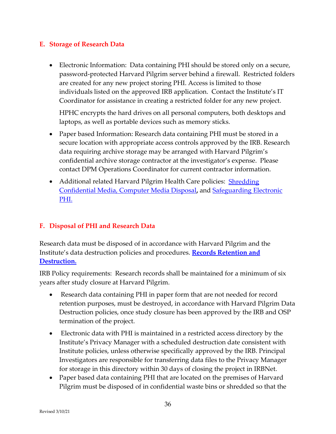#### **E. Storage of Research Data**

• Electronic Information: Data containing PHI should be stored only on a secure, password-protected Harvard Pilgrim server behind a firewall. Restricted folders are created for any new project storing PHI. Access is limited to those individuals listed on the approved IRB application. Contact the Institute's IT Coordinator for assistance in creating a restricted folder for any new project.

HPHC encrypts the hard drives on all personal computers, both desktops and laptops, as well as portable devices such as memory sticks.

- Paper based Information: Research data containing PHI must be stored in a secure location with appropriate access controls approved by the IRB. Research data requiring archive storage may be arranged with Harvard Pilgrim's confidential archive storage contractor at the investigator's expense. Please contact DPM Operations Coordinator for current contractor information.
- Additional related Harvard Pilgrim Health Care policies: Shredding [Confidential Media, Computer Media Disposal](https://intranet.hphc.org/htmldb/f?p=128:39:492410176161255::::P39_PFIL_ID:4805:YES)**,** and [Safeguarding Electronic](https://intranet.hphc.org/htmldb/f?p=128:39:1057835809889123::::P39_PFIL_ID:5195:YES)  [PHI.](https://intranet.hphc.org/htmldb/f?p=128:39:1057835809889123::::P39_PFIL_ID:5195:YES)

#### **F. Disposal of PHI and Research Data**

Research data must be disposed of in accordance with Harvard Pilgrim and the Institute's data destruction policies and procedures. **[Records Retention and](https://cc23704c-00b8-4246-85d8-99a29b853714.filesusr.com/ugd/db4ed6_a139efee07ad4bb59b2bb1d759cc21d1.pdf)  [Destruction.](https://cc23704c-00b8-4246-85d8-99a29b853714.filesusr.com/ugd/db4ed6_a139efee07ad4bb59b2bb1d759cc21d1.pdf)**

IRB Policy requirements: Research records shall be maintained for a minimum of six years after study closure at Harvard Pilgrim.

- Research data containing PHI in paper form that are not needed for record retention purposes, must be destroyed, in accordance with Harvard Pilgrim Data Destruction policies, once study closure has been approved by the IRB and OSP termination of the project.
- Electronic data with PHI is maintained in a restricted access directory by the Institute's Privacy Manager with a scheduled destruction date consistent with Institute policies, unless otherwise specifically approved by the IRB. Principal Investigators are responsible for transferring data files to the Privacy Manager for storage in this directory within 30 days of closing the project in IRBNet.
- Paper based data containing PHI that are located on the premises of Harvard Pilgrim must be disposed of in confidential waste bins or shredded so that the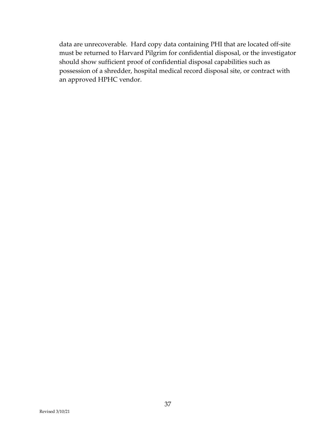data are unrecoverable. Hard copy data containing PHI that are located off-site must be returned to Harvard Pilgrim for confidential disposal, or the investigator should show sufficient proof of confidential disposal capabilities such as possession of a shredder, hospital medical record disposal site, or contract with an approved HPHC vendor.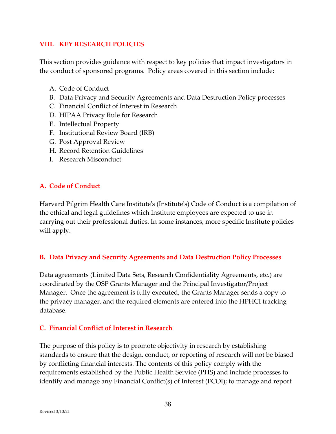## <span id="page-38-0"></span>**VIII. KEY RESEARCH POLICIES**

This section provides guidance with respect to key policies that impact investigators in the conduct of sponsored programs. Policy areas covered in this section include:

- A. Code of Conduct
- B. Data Privacy and Security Agreements and Data Destruction Policy processes
- C. Financial Conflict of Interest in Research
- D. HIPAA Privacy Rule for Research
- E. Intellectual Property
- F. Institutional Review Board (IRB)
- G. Post Approval Review
- H. Record Retention Guidelines
- I. Research Misconduct

# **A. Code of Conduct**

Harvard Pilgrim Health Care Institute's (Institute's) Code of Conduct is a compilation of the ethical and legal guidelines which Institute employees are expected to use in carrying out their professional duties. In some instances, more specific Institute policies will apply.

#### **B. Data Privacy and Security Agreements and Data Destruction Policy Processes**

Data agreements (Limited Data Sets, Research Confidentiality Agreements, etc.) are coordinated by the OSP Grants Manager and the Principal Investigator/Project Manager. Once the agreement is fully executed, the Grants Manager sends a copy to the privacy manager, and the required elements are entered into the HPHCI tracking database.

# **C. Financial Conflict of Interest in Research**

The purpose of this policy is to promote objectivity in research by establishing standards to ensure that the design, conduct, or reporting of research will not be biased by conflicting financial interests. The contents of this policy comply with the requirements established by the Public Health Service (PHS) and include processes to identify and manage any Financial Conflict(s) of Interest (FCOI); to manage and report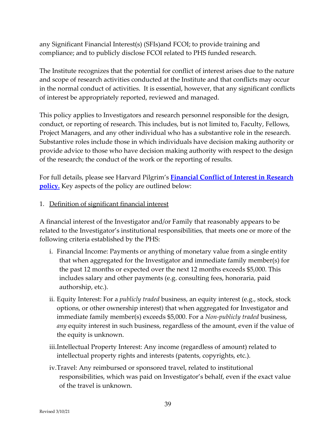any Significant Financial Interest(s) (SFIs)and FCOI; to provide training and compliance; and to publicly disclose FCOI related to PHS funded research.

The Institute recognizes that the potential for conflict of interest arises due to the nature and scope of research activities conducted at the Institute and that conflicts may occur in the normal conduct of activities. It is essential, however, that any significant conflicts of interest be appropriately reported, reviewed and managed.

This policy applies to Investigators and research personnel responsible for the design, conduct, or reporting of research. This includes, but is not limited to, Faculty, Fellows, Project Managers, and any other individual who has a substantive role in the research. Substantive roles include those in which individuals have decision making authority or provide advice to those who have decision making authority with respect to the design of the research; the conduct of the work or the reporting of results.

For full details, please see Harvard Pilgrim's **[Financial Conflict of Interest in Research](https://cc23704c-00b8-4246-85d8-99a29b853714.filesusr.com/ugd/db4ed6_834b3b4d92a6463eb547844deaaebbec.pdf)  [policy.](https://cc23704c-00b8-4246-85d8-99a29b853714.filesusr.com/ugd/db4ed6_834b3b4d92a6463eb547844deaaebbec.pdf)** Key aspects of the policy are outlined below:

#### 1. Definition of significant financial interest

A financial interest of the Investigator and/or Family that reasonably appears to be related to the Investigator's institutional responsibilities*,* that meets one or more of the following criteria established by the PHS:

- i. Financial Income: Payments or anything of monetary value from a single entity that when aggregated for the Investigator and immediate family member(s) for the past 12 months or expected over the next 12 months exceeds \$5,000. This includes salary and other payments (e.g. consulting fees, honoraria, paid authorship, etc.).
- ii. Equity Interest: For a *publicly traded* business, an equity interest (e.g., stock, stock options, or other ownership interest) that when aggregated for Investigator and immediate family member(s) exceeds \$5,000. For a *Non-publicly traded* business, *any* equity interest in such business, regardless of the amount, even if the value of the equity is unknown.
- iii.Intellectual Property Interest: Any income (regardless of amount) related to intellectual property rights and interests (patents, copyrights, etc.).
- iv.Travel: Any reimbursed or sponsored travel, related to institutional responsibilities, which was paid on Investigator's behalf, even if the exact value of the travel is unknown.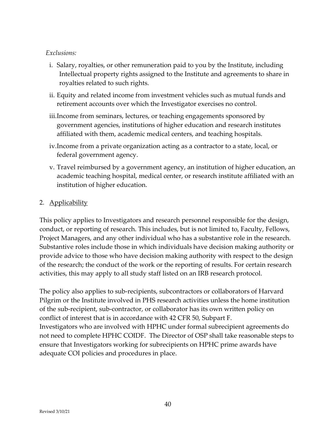#### *Exclusions:*

- i. Salary, royalties, or other remuneration paid to you by the Institute, including Intellectual property rights assigned to the Institute and agreements to share in royalties related to such rights.
- ii. Equity and related income from investment vehicles such as mutual funds and retirement accounts over which the Investigator exercises no control.
- iii.Income from seminars, lectures, or teaching engagements sponsored by government agencies, institutions of higher education and research institutes affiliated with them, academic medical centers, and teaching hospitals.
- iv.Income from a private organization acting as a contractor to a state, local, or federal government agency.
- v. Travel reimbursed by a government agency, an institution of higher education, an academic teaching hospital, medical center, or research institute affiliated with an institution of higher education.

## 2. Applicability

This policy applies to Investigators and research personnel responsible for the design, conduct, or reporting of research. This includes, but is not limited to, Faculty, Fellows, Project Managers, and any other individual who has a substantive role in the research. Substantive roles include those in which individuals have decision making authority or provide advice to those who have decision making authority with respect to the design of the research; the conduct of the work or the reporting of results. For certain research activities, this may apply to all study staff listed on an IRB research protocol.

The policy also applies to sub-recipients, subcontractors or collaborators of Harvard Pilgrim or the Institute involved in PHS research activities unless the home institution of the sub-recipient, sub-contractor, or collaborator has its own written policy on conflict of interest that is in accordance with 42 CFR 50, Subpart F. Investigators who are involved with HPHC under formal subrecipient agreements do not need to complete HPHC COIDF. The Director of OSP shall take reasonable steps to ensure that Investigators working for subrecipients on HPHC prime awards have adequate COI policies and procedures in place.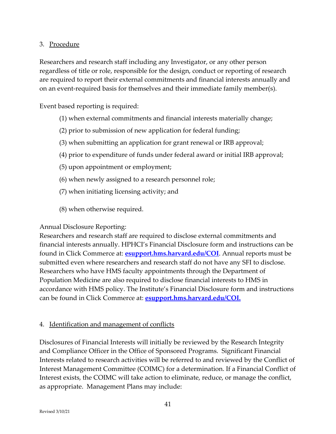#### 3. Procedure

Researchers and research staff including any Investigator, or any other person regardless of title or role, responsible for the design, conduct or reporting of research are required to report their external commitments and financial interests annually and on an event-required basis for themselves and their immediate family member(s).

Event based reporting is required:

- (1) when external commitments and financial interests materially change;
- (2) prior to submission of new application for federal funding;
- (3) when submitting an application for grant renewal or IRB approval;
- (4) prior to expenditure of funds under federal award or initial IRB approval;
- (5) upon appointment or employment;
- (6) when newly assigned to a research personnel role;
- (7) when initiating licensing activity; and
- (8) when otherwise required.

#### Annual Disclosure Reporting:

Researchers and research staff are required to disclose external commitments and financial interests annually. HPHCI's Financial Disclosure form and instructions can be found in Click Commerce at: **[esupport.hms.harvard.edu/COI](https://esupport.hms.harvard.edu/COI)**. Annual reports must be submitted even where researchers and research staff do not have any SFI to disclose. Researchers who have HMS faculty appointments through the Department of Population Medicine are also required to disclose financial interests to HMS in accordance with HMS policy. The Institute's Financial Disclosure form and instructions can be found in Click Commerce at: **[esupport.hms.harvard.edu/COI.](https://esupport.hms.harvard.edu/COI.)**

#### 4. Identification and management of conflicts

Disclosures of Financial Interests will initially be reviewed by the Research Integrity and Compliance Officer in the Office of Sponsored Programs. Significant Financial Interests related to research activities will be referred to and reviewed by the Conflict of Interest Management Committee (COIMC) for a determination. If a Financial Conflict of Interest exists, the COIMC will take action to eliminate, reduce, or manage the conflict, as appropriate. Management Plans may include: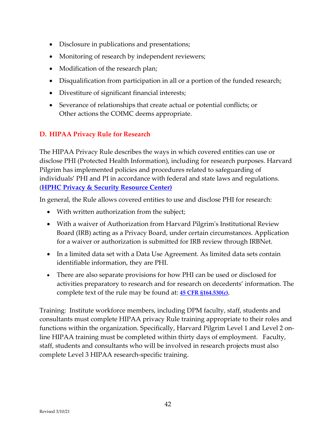- Disclosure in publications and presentations;
- Monitoring of research by independent reviewers;
- Modification of the research plan;
- Disqualification from participation in all or a portion of the funded research;
- Divestiture of significant financial interests;
- Severance of relationships that create actual or potential conflicts; or Other actions the COIMC deems appropriate.

# **D. HIPAA Privacy Rule for Research**

The HIPAA Privacy Rule describes the ways in which covered entities can use or disclose PHI (Protected Health Information), including for research purposes. Harvard Pilgrim has implemented policies and procedures related to safeguarding of individuals' PHI and PI in accordance with federal and state laws and regulations. (**[HPHC Privacy & Security Resource Center\)](https://jive.hphc.org/community/privacy-%26-security-resource-center)**

In general, the Rule allows covered entities to use and disclose PHI for research:

- With written authorization from the subject;
- With a waiver of Authorization from Harvard Pilgrim's Institutional Review Board (IRB) acting as a Privacy Board, under certain circumstances. Application for a waiver or authorization is submitted for IRB review through IRBNet.
- In a limited data set with a Data Use Agreement. As limited data sets contain identifiable information, they are PHI.
- There are also separate provisions for how PHI can be used or disclosed for activities preparatory to research and for research on decedents' information. The complete text of the rule may be found at: **[45 CFR §164.530\(c\).](http://www.google.com/url?sa=t&rct=j&q=&esrc=s&source=web&cd=1&ved=0CCcQFjAA&url=http%3A%2F%2Fwww.gpo.gov%2Ffdsys%2Fpkg%2FCFR-2011-title45-vol1%2Fpdf%2FCFR-2011-title45-vol1-sec164-530.pdf&ei=uuMUU5aNPMWj0QH0zoGABg&usg=AFQjCNHGJELOBr8Q6sHO6Bg5Zi3okkp5QA&sig2=WdG-SroSSy7S8PASMIWnFA&bvm=bv.61965928,d.dmQ&cad=rja)**

Training: Institute workforce members, including DPM faculty, staff, students and consultants must complete HIPAA privacy Rule training appropriate to their roles and functions within the organization. Specifically, Harvard Pilgrim Level 1 and Level 2 online HIPAA training must be completed within thirty days of employment. Faculty, staff, students and consultants who will be involved in research projects must also complete Level 3 HIPAA research-specific training.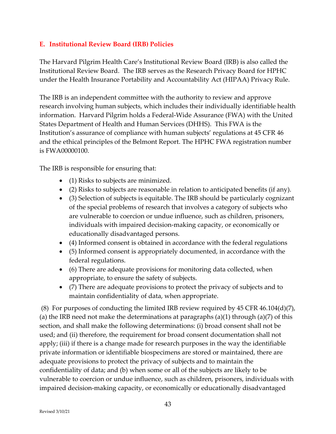## **E. Institutional Review Board (IRB) Policies**

The Harvard Pilgrim Health Care's Institutional Review Board (IRB) is also called the Institutional Review Board. The IRB serves as the Research Privacy Board for HPHC under the Health Insurance Portability and Accountability Act (HIPAA) Privacy Rule.

The IRB is an independent committee with the authority to review and approve research involving human subjects, which includes their individually identifiable health information. Harvard Pilgrim holds a Federal-Wide Assurance (FWA) with the United States Department of Health and Human Services (DHHS). This FWA is the Institution's assurance of compliance with human subjects' regulations at 45 CFR 46 and the ethical principles of the Belmont Report. The HPHC FWA registration number is FWA00000100.

The IRB is responsible for ensuring that:

- (1) Risks to subjects are minimized.
- (2) Risks to subjects are reasonable in relation to anticipated benefits (if any).
- (3) Selection of subjects is equitable. The IRB should be particularly cognizant of the special problems of research that involves a category of subjects who are vulnerable to coercion or undue influence, such as children, prisoners, individuals with impaired decision-making capacity, or economically or educationally disadvantaged persons.
- (4) Informed consent is obtained in accordance with the federal regulations
- (5) Informed consent is appropriately documented, in accordance with the federal regulations.
- (6) There are adequate provisions for monitoring data collected, when appropriate, to ensure the safety of subjects.
- (7) There are adequate provisions to protect the privacy of subjects and to maintain confidentiality of data, when appropriate.

(8) For purposes of conducting the limited IRB review required by 45 CFR 46.104(d)(7), (a) the IRB need not make the determinations at paragraphs  $(a)(1)$  through  $(a)(7)$  of this section, and shall make the following determinations: (i) broad consent shall not be used; and (ii) therefore, the requirement for broad consent documentation shall not apply; (iii) if there is a change made for research purposes in the way the identifiable private information or identifiable biospecimens are stored or maintained, there are adequate provisions to protect the privacy of subjects and to maintain the confidentiality of data; and (b) when some or all of the subjects are likely to be vulnerable to coercion or undue influence, such as children, prisoners, individuals with impaired decision-making capacity, or economically or educationally disadvantaged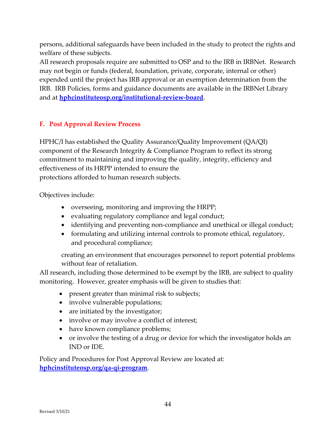persons, additional safeguards have been included in the study to protect the rights and welfare of these subjects.

All research proposals require are submitted to OSP and to the IRB in IRBNet. Research may not begin or funds (federal, foundation, private, corporate, internal or other) expended until the project has IRB approval or an exemption determination from the IRB. IRB Policies, forms and guidance documents are available in the IRBNet Library and at **[hphcinstituteosp.org/institutional-review-board](https://www.hphcinstituteosp.org/institutional-review-board)**.

# **F. Post Approval Review Process**

HPHC/I has established the Quality Assurance/Quality Improvement (QA/QI) component of the Research Integrity & Compliance Program to reflect its strong commitment to maintaining and improving the quality, integrity, efficiency and effectiveness of its HRPP intended to ensure the protections afforded to human research subjects.

Objectives include:

- overseeing, monitoring and improving the HRPP;
- evaluating regulatory compliance and legal conduct;
- identifying and preventing non-compliance and unethical or illegal conduct;
- formulating and utilizing internal controls to promote ethical, regulatory, and procedural compliance;

creating an environment that encourages personnel to report potential problems without fear of retaliation.

All research, including those determined to be exempt by the IRB, are subject to quality monitoring. However, greater emphasis will be given to studies that:

- present greater than minimal risk to subjects;
- involve vulnerable populations;
- are initiated by the investigator;
- involve or may involve a conflict of interest;
- have known compliance problems;
- or involve the testing of a drug or device for which the investigator holds an IND or IDE.

Policy and Procedures for Post Approval Review are located at: **[hphcinstituteosp.org/qa-qi-program](http://www.hphcinstituteosp.org/qa-qi-program)**.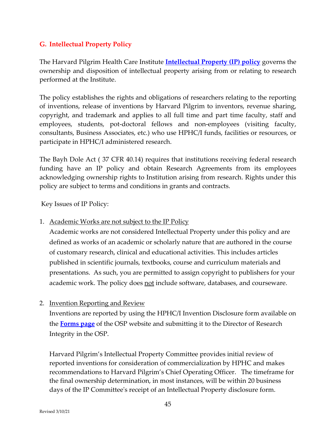## **G. Intellectual Property Policy**

The Harvard Pilgrim Health Care Institute **[Intellectual Property \(IP\) policy](https://cc23704c-00b8-4246-85d8-99a29b853714.filesusr.com/ugd/db4ed6_41d37db36e9e4582acac97a9d9d78382.pdf)** governs the ownership and disposition of intellectual property arising from or relating to research performed at the Institute.

The policy establishes the rights and obligations of researchers relating to the reporting of inventions, release of inventions by Harvard Pilgrim to inventors, revenue sharing, copyright, and trademark and applies to all full time and part time faculty, staff and employees, students, pot-doctoral fellows and non-employees (visiting faculty, consultants, Business Associates, etc.) who use HPHC/I funds, facilities or resources, or participate in HPHC/I administered research.

The Bayh Dole Act ( 37 CFR 40.14) requires that institutions receiving federal research funding have an IP policy and obtain Research Agreements from its employees acknowledging ownership rights to Institution arising from research. Rights under this policy are subject to terms and conditions in grants and contracts.

Key Issues of IP Policy:

1. Academic Works are not subject to the IP Policy

Academic works are not considered Intellectual Property under this policy and are defined as works of an academic or scholarly nature that are authored in the course of customary research, clinical and educational activities. This includes articles published in scientific journals, textbooks, course and curriculum materials and presentations. As such, you are permitted to assign copyright to publishers for your academic work. The policy does not include software, databases, and courseware.

#### 2. Invention Reporting and Review

Inventions are reported by using the HPHC/I Invention Disclosure form available on the **[Forms page](https://www.hphcinstituteosp.org/osp-forms)** of the OSP website and submitting it to the Director of Research Integrity in the OSP.

Harvard Pilgrim's Intellectual Property Committee provides initial review of reported inventions for consideration of commercialization by HPHC and makes recommendations to Harvard Pilgrim's Chief Operating Officer. The timeframe for the final ownership determination, in most instances, will be within 20 business days of the IP Committee's receipt of an Intellectual Property disclosure form.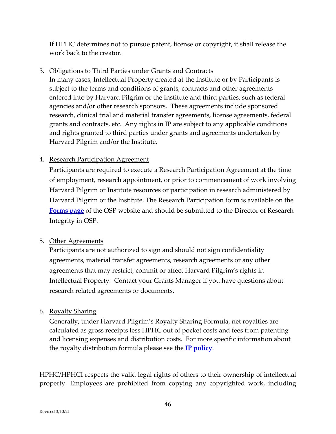If HPHC determines not to pursue patent, license or copyright, it shall release the work back to the creator.

3. Obligations to Third Parties under Grants and Contracts

In many cases, Intellectual Property created at the Institute or by Participants is subject to the terms and conditions of grants, contracts and other agreements entered into by Harvard Pilgrim or the Institute and third parties, such as federal agencies and/or other research sponsors. These agreements include *s*ponsored research, clinical trial and material transfer agreements, license agreements, federal grants and contracts, etc. Any rights in IP are subject to any applicable conditions and rights granted to third parties under grants and agreements undertaken by Harvard Pilgrim and/or the Institute.

## 4. Research Participation Agreement

Participants are required to execute a Research Participation Agreement at the time of employment, research appointment, or prior to commencement of work involving Harvard Pilgrim or Institute resources or participation in research administered by Harvard Pilgrim or the Institute. The Research Participation form is available on the **[Forms page](https://www.hphcinstituteosp.org/osp-forms)** of the OSP website and should be submitted to the Director of Research Integrity in OSP.

#### 5. Other Agreements

Participants are not authorized to *s*ign and should not sign confidentiality agreements, material transfer agreements, research agreements or any other agreements that may restrict, commit or affect Harvard Pilgrim's rights in Intellectual Property*.* Contact your Grants Manager if you have questions about research related agreements or documents.

#### 6. Royalty Sharing

Generally, under Harvard Pilgrim's Royalty Sharing Formula, net royalties are calculated as gross receipts less HPHC out of pocket costs and fees from patenting and licensing expenses and distribution costs. For more specific information about the royalty distribution formula please see the **[IP policy](https://cc23704c-00b8-4246-85d8-99a29b853714.filesusr.com/ugd/db4ed6_41d37db36e9e4582acac97a9d9d78382.pdf)**.

HPHC/HPHCI respects the valid legal rights of others to their ownership of intellectual property. Employees are prohibited from copying any copyrighted work, including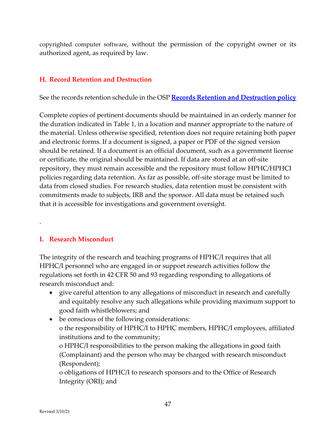[copyrighted computer software,](http://itd/security/SEC010_Use_of_Licensed_Software%20.htm) without the permission of the copyright owner or its authorized agent, as required by law.

#### **H. Record Retention and Destruction**

See the records retention schedule in the OSP **[Records Retention and Destruction policy](https://cc23704c-00b8-4246-85d8-99a29b853714.filesusr.com/ugd/db4ed6_a139efee07ad4bb59b2bb1d759cc21d1.pdf)**

Complete copies of pertinent documents should be maintained in an orderly manner for the duration indicated in Table 1, in a location and manner appropriate to the nature of the material. Unless otherwise specified, retention does not require retaining both paper and electronic forms. If a document is signed, a paper or PDF of the signed version should be retained. If a document is an official document, such as a government license or certificate, the original should be maintained. If data are stored at an off-site repository, they must remain accessible and the repository must follow HPHC/HPHCI policies regarding data retention. As far as possible, off-site storage must be limited to data from closed studies. For research studies, data retention must be consistent with commitments made to subjects, IRB and the sponsor. All data must be retained such that it is accessible for investigations and government oversight.

#### **I. Research Misconduct**

.

The integrity of the research and teaching programs of HPHC/I requires that all HPHC/I personnel who are engaged in or support research activities follow the regulations set forth in 42 CFR 50 and 93 regarding responding to allegations of research misconduct and:

- give careful attention to any allegations of misconduct in research and carefully and equitably resolve any such allegations while providing maximum support to good faith whistleblowers; and
- be conscious of the following considerations: o the responsibility of HPHC/I to HPHC members, HPHC/I employees, affiliated institutions and to the community;

o HPHC/I responsibilities to the person making the allegations in good faith (Complainant) and the person who may be charged with research misconduct (Respondent);

o obligations of HPHC/I to research sponsors and to the Office of Research Integrity (ORI); and